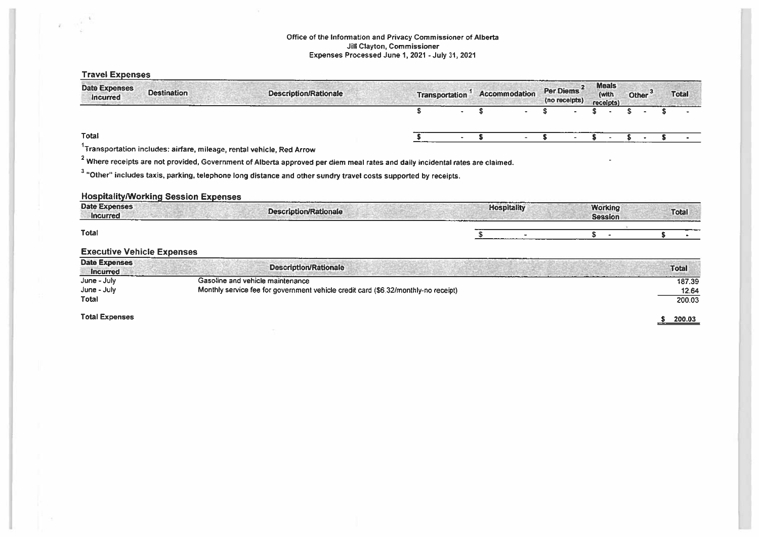## Office of the Information and Privacy Commissioner of Alberta Jill Clayton, Commissioner Expenses Processed June 1,2021 - July 31, 2021

 $\overline{g}(\cdot)$ 

| <b>Travel Expenses</b>                  |                                             |                                                                                                                                          |                       |                    |                            |                                    |                    |              |
|-----------------------------------------|---------------------------------------------|------------------------------------------------------------------------------------------------------------------------------------------|-----------------------|--------------------|----------------------------|------------------------------------|--------------------|--------------|
| <b>Date Expenses</b><br>Incurred        | <b>Destination</b>                          | <b>Description/Rationale</b>                                                                                                             | <b>Transportation</b> | Accommodation      | Per Diems<br>(no receipts) | <b>Meals</b><br>(with<br>receipts) | Other <sup>3</sup> | <b>Total</b> |
|                                         |                                             |                                                                                                                                          | S                     | S                  |                            |                                    | S                  |              |
| Total                                   |                                             |                                                                                                                                          |                       | S                  | s                          |                                    |                    |              |
|                                         |                                             | Transportation includes: airfare, mileage, rental vehicle, Red Arrow                                                                     |                       |                    |                            |                                    |                    |              |
|                                         |                                             | <sup>2</sup> Where receipts are not provided, Government of Alberta approved per diem meal rates and daily incidental rates are claimed. |                       |                    |                            |                                    |                    |              |
|                                         |                                             | <sup>3</sup> "Other" includes taxis, parking, telephone long distance and other sundry travel costs supported by receipts.               |                       |                    |                            |                                    |                    |              |
|                                         |                                             |                                                                                                                                          |                       |                    |                            |                                    |                    |              |
|                                         | <b>Hospitality/Working Session Expenses</b> |                                                                                                                                          |                       |                    |                            |                                    |                    |              |
| <b>Date Expenses</b><br><b>Incurred</b> |                                             | <b>Description/Rationale</b>                                                                                                             |                       | <b>Hospitality</b> |                            | <b>Working</b><br><b>Session</b>   |                    | <b>Total</b> |
| <b>Total</b>                            |                                             |                                                                                                                                          |                       |                    |                            | S                                  |                    |              |
| <b>Executive Vehicle Expenses</b>       |                                             |                                                                                                                                          |                       |                    |                            |                                    |                    |              |
| <b>Date Expenses</b><br><b>Incurred</b> |                                             | <b>Description/Rationale</b>                                                                                                             |                       |                    |                            |                                    |                    | <b>Total</b> |
| June - July                             |                                             | Gasoline and vehicle maintenance                                                                                                         |                       |                    |                            |                                    |                    | 187,39       |
| June - July                             |                                             | Monthly service fee for government vehicle credit card (\$6.32/monthly-no receipt)                                                       |                       |                    |                            |                                    |                    | 12.64        |
| Total                                   |                                             |                                                                                                                                          |                       |                    |                            |                                    |                    | 200.03       |
| <b>Total Expenses</b>                   |                                             |                                                                                                                                          |                       |                    |                            |                                    |                    | 200.03<br>s. |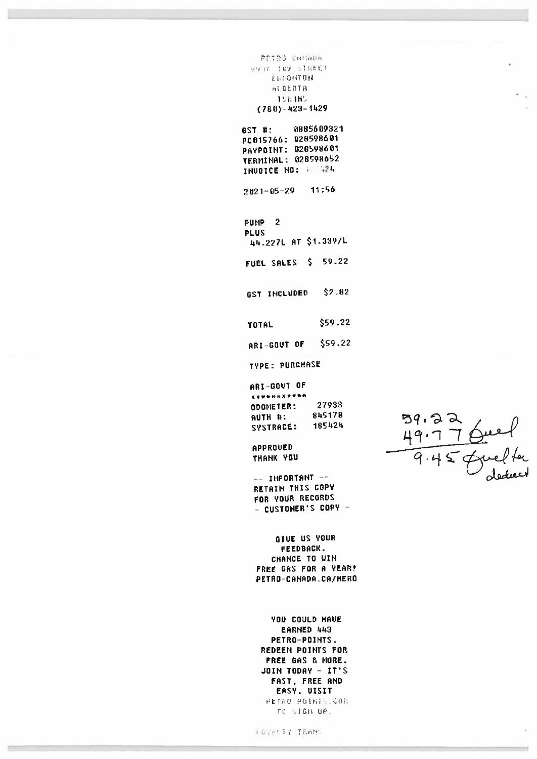PETRO CHINOR VOID JUV SIREET EDIONTON ALBEBTA **158.185**  $(780) - 423 - 1429$ 

0885609321 GST #: PC015766: 028598601 PAYPOINT: 028598601 **TERMINAL: 028598652** INUOICE NO: 188424

11:56  $2021 - 05 - 29$ 

 $\overline{2}$ **PUMP PLUS** 44.227L AT \$1.339/L

FUEL SALES \$ 59.22

 $$2.82$ GST INCLUDED

\$59.22 TOTAL

ARI-GOUT OF \$59.22

TYPE: PURCHASE

ARI-GOUT OF \*\*\*\*\*\*\*\*\*\*\* 27933 **ODONETER:** 845178 AUTH #: 185424 SYSTRACE:

APPROUED THANK YOU

 $--$  IMPORTANT  $--$ RETAIN THIS COPY FOR YOUR RECORDS - CUSTOMER'S COPY -

GIUE US YOUR FEEDBACK. CHANCE TO WIN FREE GAS FOR A YEAR! PETRO-CANADA.CA/HERO

**YOU COULD HAUE** EARNED 443 PETRO-POINTS. REDEEM POINTS FOR FREE GAS & MORE. **JOIN TODAY - IT'S** FAST, FREE AND EASY. UISIT PETRU POINTS CON TO SIGH UP.

59.22  $\frac{49.7764e}{9.4564e}$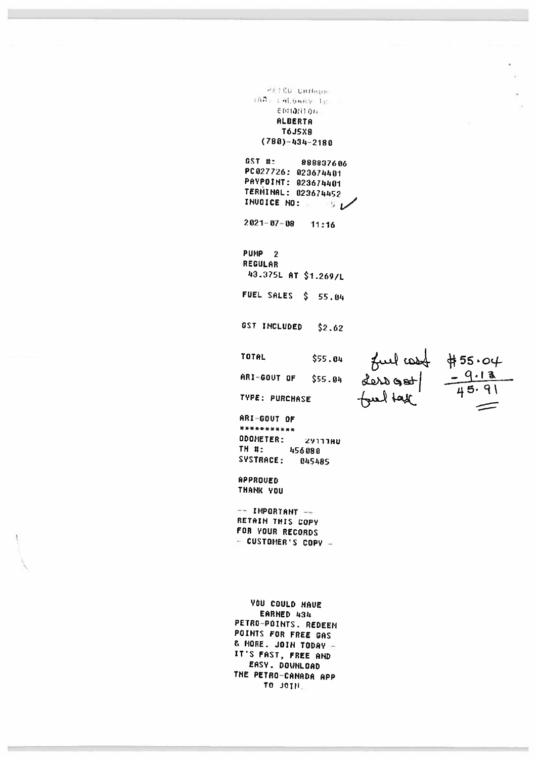PETRO CHIRACH IBR: LALGARY TH EDIDNION **ALBERTA T6J5X8**  $(788)-434=2188$ GST #: 888837606 PC 027726: 023674401 PAYPOINT: 023674401 TERMINAL: 023674452 INVOICE NO: W  $5\nu$  $2021 - 07 - 08$  $11:16$ PUMP<sub>2</sub> REGULAR 43.375L AT \$1.269/L FUEL SALES \$ 55.04 GST INCLUDED  $$2.62$  $fud \cosh \frac{455.04}{45.91}$ <br>dero get  $\frac{-9.13}{45.91}$ **TOTAL** \$55.04 ARI-GOUT OF \$55.04 TYPE: PURCHASE ARI-GOUT OF \*\*\*\*\*\*\*\*\*\*\* ODOMETER: ZYTTTAU TH #: 456888 SYSTRACE: 045485 **APPROVED** THANK YOU -- IMPORTANT --RETAIN THIS COPY FOR YOUR RECORDS - CUSTOMER'S COPY -**YOU COULD HAVE** EARNED 434 PETRO-POINTS. REDEEM POINTS FOR FREE GAS & MORE. JOIN TODAY IT'S FAST, FREE AND EASY. DOWNLOAD THE PETRO-CANADA APP

TO JOIN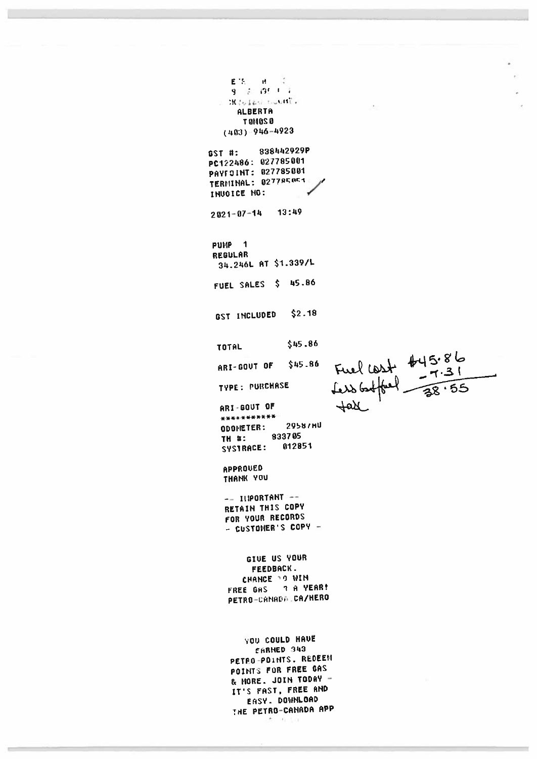$\begin{array}{ccccc} \textbf{E}^{-1}\textbf{S}^{(1)} & \textbf{H} & \textbf{G} \\ \textbf{Q} & \textbf{H} & \textbf{G}\textbf{H} & \textbf{I} & \textbf{I} \end{array}$  $\ddot{\cdot}$  $2K\log\log n$  bound a ALBERTA T GMOS O  $(403) - 946 - 4923$ 

838442929P  $SST$ #: PC122486: 027785001 PAYFOINT: 027785001 TERMINAL: 027785854 INUOICE NO:

 $2821 - 07 - 14$ 13:49

PUMP<sub>1</sub> REGULAR 34.246L AT \$1.339/L FUEL SALES \$ 45.86

 $$2.18$ GST INCLUDED

\$45.86

**TOTAL** 

ARI-GOUT OF \$45.86

TYPE: PURCHASE

ARI-GOUT OF \*\*\*\*\*\*\*\*\*\*\* 2958/HU ODOMETER: 833705 TH #: SYSTRACE: 012851

APPROUED THANK YOU

 $-- 11$ **PORTANT**  $--$ RETAIN THIS COPY FOR YOUR RECORDS - CUSTOMER'S COPY -

GIVE US YOUR FEEDBACK. CHANCE DO WIN FREE GAS 7 A YEAR! PETRO-CANADA CA/HERO

**YOU COULD HAVE** EARNED 343 PETRO-POINTS. REDEEN POINTS FOR FREE GAS & MORE. JOIN TODAY -IT'S FAST, FREE AND EASY. DOWNLOAD THE PETRO-CANADA APP

the search and

Fuel cost #45.86<br>fess bothered - 38.55